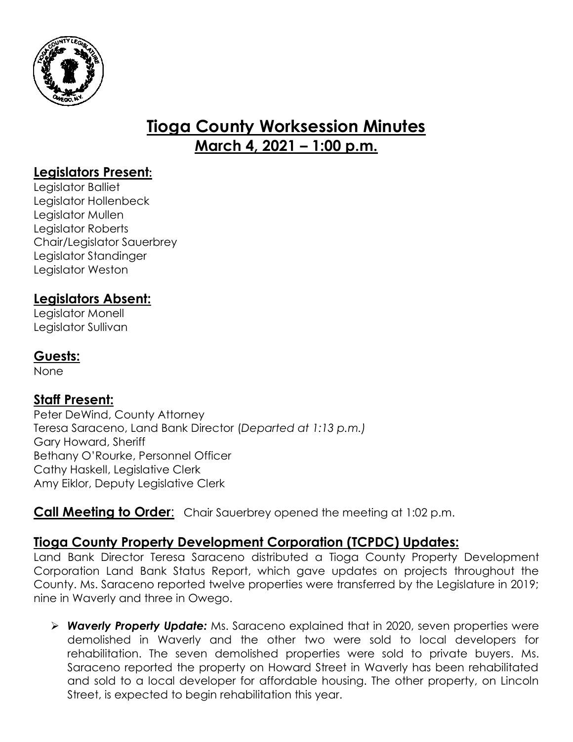

# **Tioga County Worksession Minutes March 4, 2021 – 1:00 p.m.**

## **Legislators Present:**

Legislator Balliet Legislator Hollenbeck Legislator Mullen Legislator Roberts Chair/Legislator Sauerbrey Legislator Standinger Legislator Weston

## **Legislators Absent:**

Legislator Monell Legislator Sullivan

#### **Guests:**

None

#### **Staff Present:**

Peter DeWind, County Attorney Teresa Saraceno, Land Bank Director (*Departed at 1:13 p.m.)* Gary Howard, Sheriff Bethany O'Rourke, Personnel Officer Cathy Haskell, Legislative Clerk Amy Eiklor, Deputy Legislative Clerk

#### **Call Meeting to Order:** Chair Sauerbrey opened the meeting at 1:02 p.m.

# **Tioga County Property Development Corporation (TCPDC) Updates:**

Land Bank Director Teresa Saraceno distributed a Tioga County Property Development Corporation Land Bank Status Report, which gave updates on projects throughout the County. Ms. Saraceno reported twelve properties were transferred by the Legislature in 2019; nine in Waverly and three in Owego.

 *Waverly Property Update:* Ms. Saraceno explained that in 2020, seven properties were demolished in Waverly and the other two were sold to local developers for rehabilitation. The seven demolished properties were sold to private buyers. Ms. Saraceno reported the property on Howard Street in Waverly has been rehabilitated and sold to a local developer for affordable housing. The other property, on Lincoln Street, is expected to begin rehabilitation this year.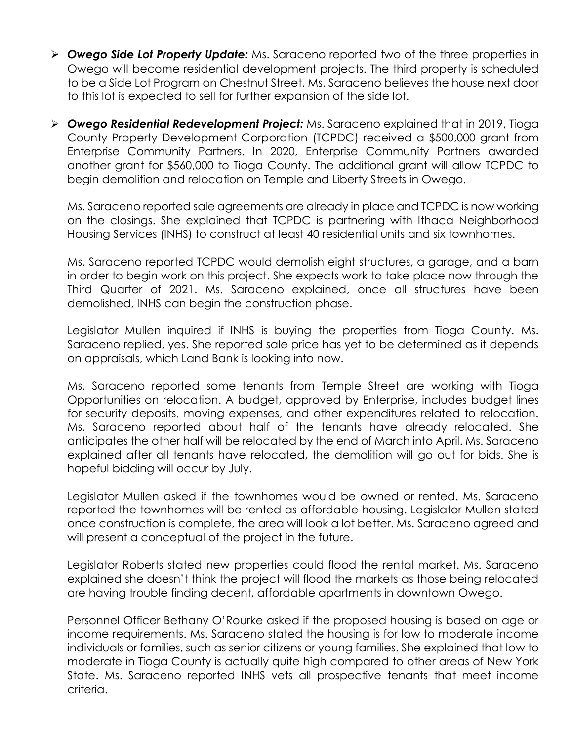- *Owego Side Lot Property Update:* Ms. Saraceno reported two of the three properties in Owego will become residential development projects. The third property is scheduled to be a Side Lot Program on Chestnut Street. Ms. Saraceno believes the house next door to this lot is expected to sell for further expansion of the side lot.
- *Owego Residential Redevelopment Project:* Ms. Saraceno explained that in 2019, Tioga County Property Development Corporation (TCPDC) received a \$500,000 grant from Enterprise Community Partners. In 2020, Enterprise Community Partners awarded another grant for \$560,000 to Tioga County. The additional grant will allow TCPDC to begin demolition and relocation on Temple and Liberty Streets in Owego.

Ms. Saraceno reported sale agreements are already in place and TCPDC is now working on the closings. She explained that TCPDC is partnering with Ithaca Neighborhood Housing Services (INHS) to construct at least 40 residential units and six townhomes.

Ms. Saraceno reported TCPDC would demolish eight structures, a garage, and a barn in order to begin work on this project. She expects work to take place now through the Third Quarter of 2021. Ms. Saraceno explained, once all structures have been demolished, INHS can begin the construction phase.

Legislator Mullen inquired if INHS is buying the properties from Tioga County. Ms. Saraceno replied, yes. She reported sale price has yet to be determined as it depends on appraisals, which Land Bank is looking into now.

Ms. Saraceno reported some tenants from Temple Street are working with Tioga Opportunities on relocation. A budget, approved by Enterprise, includes budget lines for security deposits, moving expenses, and other expenditures related to relocation. Ms. Saraceno reported about half of the tenants have already relocated. She anticipates the other half will be relocated by the end of March into April. Ms. Saraceno explained after all tenants have relocated, the demolition will go out for bids. She is hopeful bidding will occur by July.

Legislator Mullen asked if the townhomes would be owned or rented. Ms. Saraceno reported the townhomes will be rented as affordable housing. Legislator Mullen stated once construction is complete, the area will look a lot better. Ms. Saraceno agreed and will present a conceptual of the project in the future.

Legislator Roberts stated new properties could flood the rental market. Ms. Saraceno explained she doesn't think the project will flood the markets as those being relocated are having trouble finding decent, affordable apartments in downtown Owego.

Personnel Officer Bethany O'Rourke asked if the proposed housing is based on age or income requirements. Ms. Saraceno stated the housing is for low to moderate income individuals or families, such as senior citizens or young families. She explained that low to moderate in Tioga County is actually quite high compared to other areas of New York State. Ms. Saraceno reported INHS vets all prospective tenants that meet income criteria.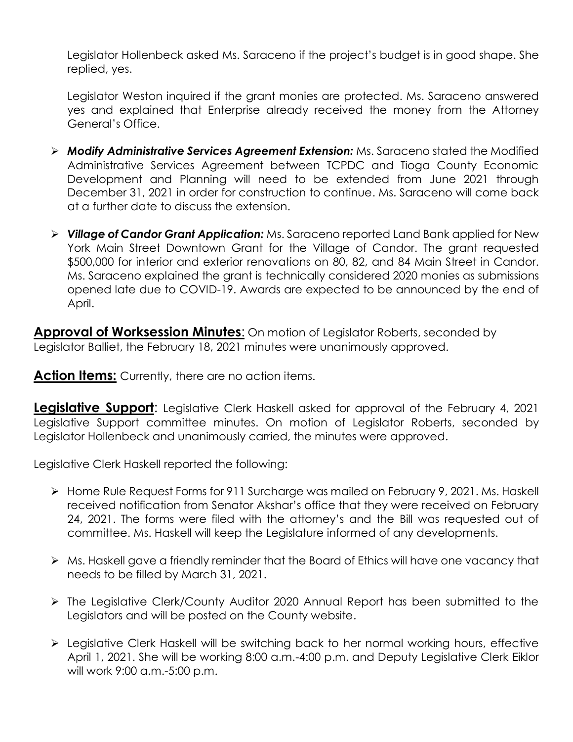Legislator Hollenbeck asked Ms. Saraceno if the project's budget is in good shape. She replied, yes.

Legislator Weston inquired if the grant monies are protected. Ms. Saraceno answered yes and explained that Enterprise already received the money from the Attorney General's Office.

- *Modify Administrative Services Agreement Extension:* Ms. Saraceno stated the Modified Administrative Services Agreement between TCPDC and Tioga County Economic Development and Planning will need to be extended from June 2021 through December 31, 2021 in order for construction to continue. Ms. Saraceno will come back at a further date to discuss the extension.
- *Village of Candor Grant Application:* Ms. Saraceno reported Land Bank applied for New York Main Street Downtown Grant for the Village of Candor. The grant requested \$500,000 for interior and exterior renovations on 80, 82, and 84 Main Street in Candor. Ms. Saraceno explained the grant is technically considered 2020 monies as submissions opened late due to COVID-19. Awards are expected to be announced by the end of April.

**Approval of Worksession Minutes**: On motion of Legislator Roberts, seconded by Legislator Balliet, the February 18, 2021 minutes were unanimously approved.

**Action Items:** Currently, there are no action items.

**Legislative Support:** Legislative Clerk Haskell asked for approval of the February 4, 2021 Legislative Support committee minutes. On motion of Legislator Roberts, seconded by Legislator Hollenbeck and unanimously carried, the minutes were approved.

Legislative Clerk Haskell reported the following:

- Home Rule Request Forms for 911 Surcharge was mailed on February 9, 2021. Ms. Haskell received notification from Senator Akshar's office that they were received on February 24, 2021. The forms were filed with the attorney's and the Bill was requested out of committee. Ms. Haskell will keep the Legislature informed of any developments.
- Ms. Haskell gave a friendly reminder that the Board of Ethics will have one vacancy that needs to be filled by March 31, 2021.
- The Legislative Clerk/County Auditor 2020 Annual Report has been submitted to the Legislators and will be posted on the County website.
- Legislative Clerk Haskell will be switching back to her normal working hours, effective April 1, 2021. She will be working 8:00 a.m.-4:00 p.m. and Deputy Legislative Clerk Eiklor will work 9:00 a.m.-5:00 p.m.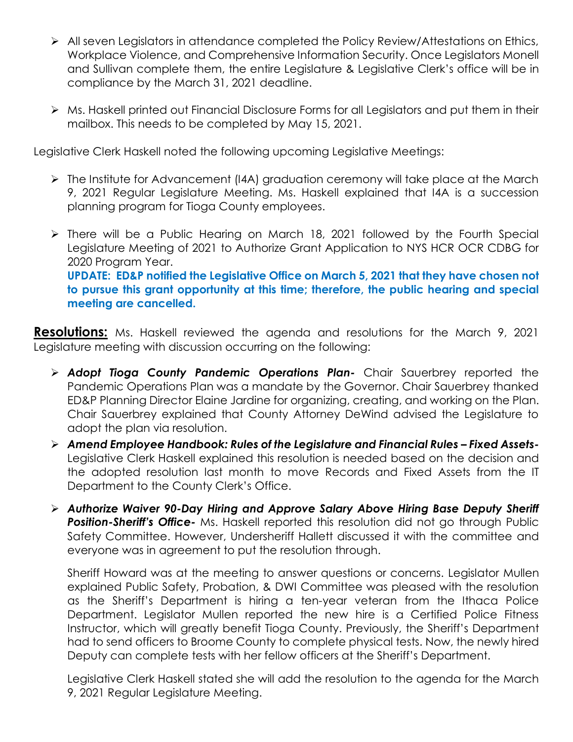- All seven Legislators in attendance completed the Policy Review/Attestations on Ethics, Workplace Violence, and Comprehensive Information Security. Once Legislators Monell and Sullivan complete them, the entire Legislature & Legislative Clerk's office will be in compliance by the March 31, 2021 deadline.
- Ms. Haskell printed out Financial Disclosure Forms for all Legislators and put them in their mailbox. This needs to be completed by May 15, 2021.

Legislative Clerk Haskell noted the following upcoming Legislative Meetings:

- The Institute for Advancement (I4A) graduation ceremony will take place at the March 9, 2021 Regular Legislature Meeting. Ms. Haskell explained that I4A is a succession planning program for Tioga County employees.
- There will be a Public Hearing on March 18, 2021 followed by the Fourth Special Legislature Meeting of 2021 to Authorize Grant Application to NYS HCR OCR CDBG for 2020 Program Year. **UPDATE: ED&P notified the Legislative Office on March 5, 2021 that they have chosen not to pursue this grant opportunity at this time; therefore, the public hearing and special meeting are cancelled.**

**Resolutions:** Ms. Haskell reviewed the agenda and resolutions for the March 9, 2021 Legislature meeting with discussion occurring on the following:

- *Adopt Tioga County Pandemic Operations Plan-* Chair Sauerbrey reported the Pandemic Operations Plan was a mandate by the Governor. Chair Sauerbrey thanked ED&P Planning Director Elaine Jardine for organizing, creating, and working on the Plan. Chair Sauerbrey explained that County Attorney DeWind advised the Legislature to adopt the plan via resolution.
- *Amend Employee Handbook: Rules of the Legislature and Financial Rules – Fixed Assets-*Legislative Clerk Haskell explained this resolution is needed based on the decision and the adopted resolution last month to move Records and Fixed Assets from the IT Department to the County Clerk's Office.
- *Authorize Waiver 90-Day Hiring and Approve Salary Above Hiring Base Deputy Sheriff Position-Sheriff's Office-* Ms. Haskell reported this resolution did not go through Public Safety Committee. However, Undersheriff Hallett discussed it with the committee and everyone was in agreement to put the resolution through.

Sheriff Howard was at the meeting to answer questions or concerns. Legislator Mullen explained Public Safety, Probation, & DWI Committee was pleased with the resolution as the Sheriff's Department is hiring a ten*-*year veteran from the Ithaca Police Department. Legislator Mullen reported the new hire is a Certified Police Fitness Instructor, which will greatly benefit Tioga County. Previously, the Sheriff's Department had to send officers to Broome County to complete physical tests. Now, the newly hired Deputy can complete tests with her fellow officers at the Sheriff's Department.

Legislative Clerk Haskell stated she will add the resolution to the agenda for the March 9, 2021 Regular Legislature Meeting.